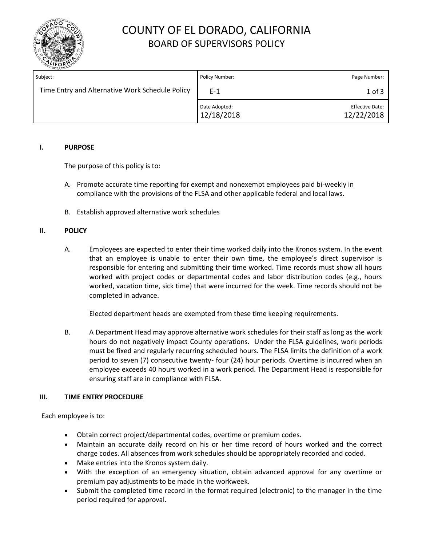

# COUNTY OF EL DORADO, CALIFORNIA BOARD OF SUPERVISORS POLICY

| Subject:                                        | Policy Number:              | Page Number:                         |
|-------------------------------------------------|-----------------------------|--------------------------------------|
| Time Entry and Alternative Work Schedule Policy | $F-1$                       | $1$ of $3$                           |
|                                                 | Date Adopted:<br>12/18/2018 | <b>Effective Date:</b><br>12/22/2018 |

### **I. PURPOSE**

The purpose of this policy is to:

- A. Promote accurate time reporting for exempt and nonexempt employees paid bi-weekly in compliance with the provisions of the FLSA and other applicable federal and local laws.
- B. Establish approved alternative work schedules

#### **II. POLICY**

A. Employees are expected to enter their time worked daily into the Kronos system. In the event that an employee is unable to enter their own time, the employee's direct supervisor is responsible for entering and submitting their time worked. Time records must show all hours worked with project codes or departmental codes and labor distribution codes (e.g., hours worked, vacation time, sick time) that were incurred for the week. Time records should not be completed in advance.

Elected department heads are exempted from these time keeping requirements.

B. A Department Head may approve alternative work schedules for their staff as long as the work hours do not negatively impact County operations. Under the FLSA guidelines, work periods must be fixed and regularly recurring scheduled hours. The FLSA limits the definition of a work period to seven (7) consecutive twenty- four (24) hour periods. Overtime is incurred when an employee exceeds 40 hours worked in a work period. The Department Head is responsible for ensuring staff are in compliance with FLSA.

### **III. TIME ENTRY PROCEDURE**

Each employee is to:

- Obtain correct project/departmental codes, overtime or premium codes.
- Maintain an accurate daily record on his or her time record of hours worked and the correct charge codes. All absences from work schedules should be appropriately recorded and coded.
- Make entries into the Kronos system daily.
- With the exception of an emergency situation, obtain advanced approval for any overtime or premium pay adjustments to be made in the workweek.
- Submit the completed time record in the format required (electronic) to the manager in the time period required for approval.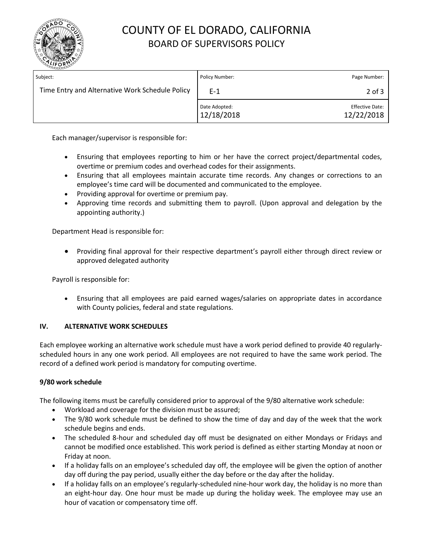

# COUNTY OF EL DORADO, CALIFORNIA BOARD OF SUPERVISORS POLICY

| Subject:                                        | Policy Number:              | Page Number:                         |
|-------------------------------------------------|-----------------------------|--------------------------------------|
| Time Entry and Alternative Work Schedule Policy | $E-1$                       | $2$ of $3$                           |
|                                                 | Date Adopted:<br>12/18/2018 | <b>Effective Date:</b><br>12/22/2018 |

Each manager/supervisor is responsible for:

- Ensuring that employees reporting to him or her have the correct project/departmental codes, overtime or premium codes and overhead codes for their assignments.
- Ensuring that all employees maintain accurate time records. Any changes or corrections to an employee's time card will be documented and communicated to the employee.
- Providing approval for overtime or premium pay.
- Approving time records and submitting them to payroll. (Upon approval and delegation by the appointing authority.)

Department Head is responsible for:

 Providing final approval for their respective department's payroll either through direct review or approved delegated authority

Payroll is responsible for:

 Ensuring that all employees are paid earned wages/salaries on appropriate dates in accordance with County policies, federal and state regulations.

### **IV. ALTERNATIVE WORK SCHEDULES**

Each employee working an alternative work schedule must have a work period defined to provide 40 regularlyscheduled hours in any one work period. All employees are not required to have the same work period. The record of a defined work period is mandatory for computing overtime.

### **9/80 work schedule**

The following items must be carefully considered prior to approval of the 9/80 alternative work schedule:

- Workload and coverage for the division must be assured;
- The 9/80 work schedule must be defined to show the time of day and day of the week that the work schedule begins and ends.
- The scheduled 8-hour and scheduled day off must be designated on either Mondays or Fridays and cannot be modified once established. This work period is defined as either starting Monday at noon or Friday at noon.
- If a holiday falls on an employee's scheduled day off, the employee will be given the option of another day off during the pay period, usually either the day before or the day after the holiday.
- If a holiday falls on an employee's regularly-scheduled nine-hour work day, the holiday is no more than an eight-hour day. One hour must be made up during the holiday week. The employee may use an hour of vacation or compensatory time off.